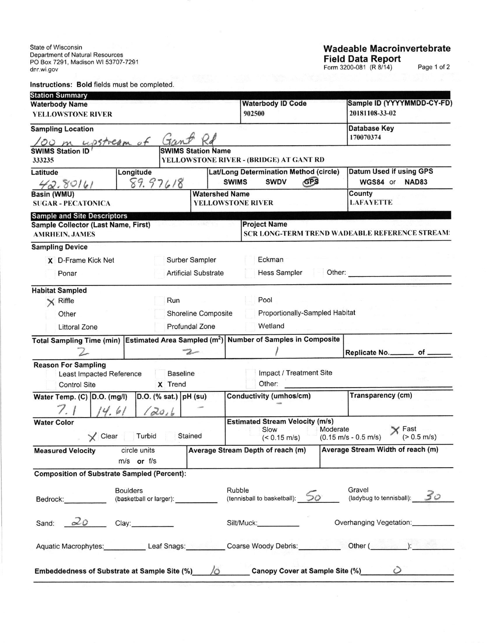State of Wisconsin Department of Natural Resources<br>PO Box 7291, Madison WI 53707-7291 dnr.wi.gov

Instructions: Bold fields must be completed.

## **Wadeable Macroinvertebrate** Field Data Report

Page 1 of 2

| <b>Station Summary</b>                                             |                         |                             |                                    |                                                   |                                              |                                                                                |  |  |
|--------------------------------------------------------------------|-------------------------|-----------------------------|------------------------------------|---------------------------------------------------|----------------------------------------------|--------------------------------------------------------------------------------|--|--|
| <b>Waterbody Name</b><br>YELLOWSTONE RIVER                         |                         |                             | <b>Waterbody ID Code</b><br>902500 |                                                   | Sample ID (YYYYMMDD-CY-FD)<br>20181108-33-02 |                                                                                |  |  |
|                                                                    |                         |                             |                                    |                                                   |                                              | <b>Database Key</b>                                                            |  |  |
| <b>Sampling Location</b>                                           |                         |                             |                                    |                                                   |                                              | 170070374                                                                      |  |  |
| OO m upstream of<br><b>SWIMS Station ID</b>                        |                         |                             | <b>SWIMS Station Name</b>          |                                                   |                                              |                                                                                |  |  |
| 333235                                                             |                         |                             |                                    | YELLOWSTONE RIVER - (BRIDGE) AT GANT RD           |                                              |                                                                                |  |  |
| Latitude                                                           | Longitude               |                             |                                    | Lat/Long Determination Method (circle)            |                                              | Datum Used if using GPS                                                        |  |  |
| 42.80161                                                           |                         | 89.97618                    |                                    | <b>SWIMS</b><br><b>SWDV</b>                       | GPS                                          | WGS84 or<br><b>NAD83</b>                                                       |  |  |
| Basin (WMU)<br><b>SUGAR - PECATONICA</b>                           |                         |                             |                                    | <b>Watershed Name</b><br><b>YELLOWSTONE RIVER</b> |                                              | County<br><b>LAFAYETTE</b>                                                     |  |  |
|                                                                    |                         |                             |                                    |                                                   |                                              |                                                                                |  |  |
| <b>Sample and Site Descriptors</b>                                 |                         |                             |                                    | <b>Project Name</b>                               |                                              |                                                                                |  |  |
| Sample Collector (Last Name, First)<br><b>AMRHEIN, JAMES</b>       |                         |                             |                                    |                                                   |                                              | SCR LONG-TERM TREND WADEABLE REFERENCE STREAM:                                 |  |  |
| <b>Sampling Device</b>                                             |                         |                             |                                    |                                                   |                                              |                                                                                |  |  |
| X D-Frame Kick Net                                                 | Surber Sampler          |                             | Eckman                             |                                                   |                                              |                                                                                |  |  |
| Ponar                                                              |                         | <b>Artificial Substrate</b> |                                    | <b>Hess Sampler</b><br>Other:                     |                                              |                                                                                |  |  |
| <b>Habitat Sampled</b>                                             |                         |                             |                                    |                                                   |                                              |                                                                                |  |  |
| $\times$ Riffle                                                    |                         | Run                         |                                    | Pool                                              |                                              |                                                                                |  |  |
| Shoreline Composite<br>Other                                       |                         |                             |                                    |                                                   | Proportionally-Sampled Habitat               |                                                                                |  |  |
| <b>Littoral Zone</b>                                               |                         |                             | Profundal Zone                     | Wetland                                           |                                              |                                                                                |  |  |
| Total Sampling Time (min) Estimated Area Sampled (m <sup>2</sup> ) |                         |                             |                                    | <b>Number of Samples in Composite</b>             |                                              |                                                                                |  |  |
|                                                                    |                         |                             | $\mathcal{Z}$                      |                                                   |                                              | Replicate No. _________ of _                                                   |  |  |
| <b>Reason For Sampling</b>                                         |                         |                             |                                    |                                                   |                                              |                                                                                |  |  |
| Least Impacted Reference                                           |                         | <b>Baseline</b>             |                                    |                                                   | Impact / Treatment Site                      |                                                                                |  |  |
| <b>Control Site</b>                                                |                         | X Trend                     |                                    | Other:                                            |                                              |                                                                                |  |  |
| Water Temp. (C) D.O. (mg/l)                                        |                         | $D.O.$ (% sat.)   pH (su)   |                                    | Conductivity (umhos/cm)                           |                                              | Transparency (cm)                                                              |  |  |
|                                                                    | $\mathcal{L}/$          | (20, 6)                     |                                    |                                                   |                                              |                                                                                |  |  |
| <b>Water Color</b>                                                 |                         |                             |                                    | <b>Estimated Stream Velocity (m/s)</b><br>Slow    | Moderate                                     | Y Fast                                                                         |  |  |
| Clear                                                              | Turbid                  |                             | Stained                            | $(< 0.15$ m/s)                                    |                                              | $(> 0.5 \text{ m/s})$<br>$(0.15 \text{ m/s} - 0.5 \text{ m/s})$                |  |  |
| <b>Measured Velocity</b>                                           | circle units            |                             |                                    | Average Stream Depth of reach (m)                 |                                              | Average Stream Width of reach (m)                                              |  |  |
|                                                                    | m/s or f/s              |                             |                                    |                                                   |                                              |                                                                                |  |  |
| <b>Composition of Substrate Sampled (Percent):</b>                 |                         |                             |                                    |                                                   |                                              |                                                                                |  |  |
|                                                                    | <b>Boulders</b>         |                             |                                    | Rubble                                            |                                              | Gravel                                                                         |  |  |
| Bedrock: _________                                                 | (basketball or larger): |                             |                                    | (tennisball to basketball): 50                    |                                              | (ladybug to tennisball): 50                                                    |  |  |
| 20<br>Sand:                                                        | Clay: 000               |                             |                                    | Silt/Muck:                                        |                                              | Overhanging Vegetation:                                                        |  |  |
|                                                                    |                         |                             |                                    |                                                   |                                              |                                                                                |  |  |
|                                                                    |                         |                             |                                    |                                                   |                                              | Aquatic Macrophytes: Leaf Snags: Coarse Woody Debris: Other (Cassacher China): |  |  |
|                                                                    |                         |                             |                                    |                                                   |                                              |                                                                                |  |  |
| Embeddedness of Substrate at Sample Site (%) $\qquad$ / $\circ$    |                         |                             |                                    |                                                   |                                              | Canopy Cover at Sample Site (%) 0                                              |  |  |